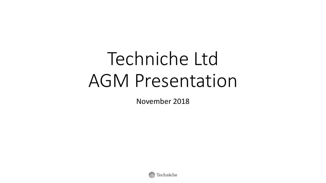# Techniche Ltd AGM Presentation

November 2018

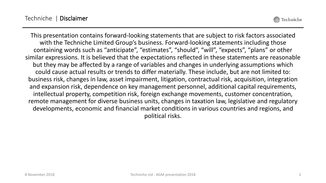Techniche

This presentation contains forward-looking statements that are subject to risk factors associated with the Techniche Limited Group's business. Forward-looking statements including those containing words such as "anticipate", "estimates", "should", "will", "expects", "plans" or other similar expressions. It is believed that the expectations reflected in these statements are reasonable but they may be affected by a range of variables and changes in underlying assumptions which could cause actual results or trends to differ materially. These include, but are not limited to: business risk, changes in law, asset impairment, litigation, contractual risk, acquisition, integration and expansion risk, dependence on key management personnel, additional capital requirements, intellectual property, competition risk, foreign exchange movements, customer concentration, remote management for diverse business units, changes in taxation law, legislative and regulatory developments, economic and financial market conditions in various countries and regions, and political risks.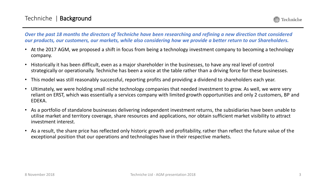*Over the past 18 months the directors of Techniche have been researching and refining a new direction that considered our products, our customers, our markets, while also considering how we provide a better return to our Shareholders.* 

- At the 2017 AGM, we proposed a shift in focus from being a technology investment company to becoming a technology company.
- Historically it has been difficult, even as a major shareholder in the businesses, to have any real level of control strategically or operationally. Techniche has been a voice at the table rather than a driving force for these businesses.
- This model was still reasonably successful, reporting profits and providing a dividend to shareholders each year.
- Ultimately, we were holding small niche technology companies that needed investment to grow. As well, we were very reliant on ERST, which was essentially a services company with limited growth opportunities and only 2 customers, BP and EDEKA.
- As a portfolio of standalone businesses delivering independent investment returns, the subsidiaries have been unable to utilise market and territory coverage, share resources and applications, nor obtain sufficient market visibility to attract investment interest.
- As a result, the share price has reflected only historic growth and profitability, rather than reflect the future value of the exceptional position that our operations and technologies have in their respective markets.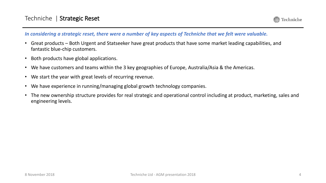

#### *In considering a strategic reset, there were a number of key aspects of Techniche that we felt were valuable.*

- Great products Both Urgent and Statseeker have great products that have some market leading capabilities, and fantastic blue-chip customers.
- Both products have global applications.
- We have customers and teams within the 3 key geographies of Europe, Australia/Asia & the Americas.
- We start the year with great levels of recurring revenue.
- We have experience in running/managing global growth technology companies.
- The new ownership structure provides for real strategic and operational control including at product, marketing, sales and engineering levels.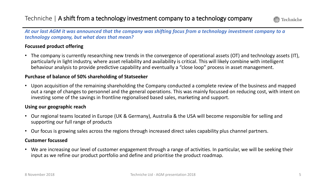

*At our last AGM it was announced that the company was shifting focus from a technology investment company to a technology company, but what does that mean?*

#### **Focussed product offering**

• The company is currently researching new trends in the convergence of operational assets (OT) and technology assets (IT), particularly in light industry, where asset reliability and availability is critical. This will likely combine with intelligent behaviour analysis to provide predictive capability and eventually a "close loop" process in asset management.

#### **Purchase of balance of 50% shareholding of Statseeker**

• Upon acquisition of the remaining shareholding the Company conducted a complete review of the business and mapped out a range of changes to personnel and the general operations. This was mainly focussed on reducing cost, with intent on investing some of the savings in frontline regionalised based sales, marketing and support.

#### **Using our geographic reach**

- Our regional teams located in Europe (UK & Germany), Australia & the USA will become responsible for selling and supporting our full range of products
- Our focus is growing sales across the regions through increased direct sales capability plus channel partners.

#### **Customer focussed**

• We are increasing our level of customer engagement through a range of activities. In particular, we will be seeking their input as we refine our product portfolio and define and prioritise the product roadmap.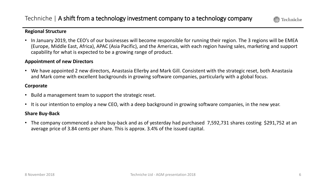

#### **Regional Structure**

• In January 2019, the CEO's of our businesses will become responsible for running their region. The 3 regions will be EMEA (Europe, Middle East, Africa), APAC (Asia Pacific), and the Americas, with each region having sales, marketing and support capability for what is expected to be a growing range of product.

#### **Appointment of new Directors**

• We have appointed 2 new directors, Anastasia Ellerby and Mark Gill. Consistent with the strategic reset, both Anastasia and Mark come with excellent backgrounds in growing software companies, particularly with a global focus.

#### **Corporate**

- Build a management team to support the strategic reset.
- It is our intention to employ a new CEO, with a deep background in growing software companies, in the new year.

#### **Share Buy-Back**

• The company commenced a share buy-back and as of yesterday had purchased 7,592,731 shares costing \$291,752 at an average price of 3.84 cents per share. This is approx. 3.4% of the issued capital.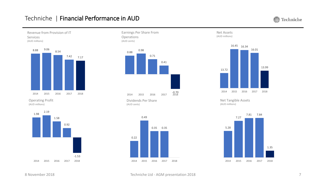#### Techniche | Financial Performance in AUD

Techniche 爱





Operating Profit (AUD millions)





Earnings Per Share From

 $-0.70$ <br> $2018$ 2014 2015 2016 2017 2018 Dividends Per Share

(AUD cents)







Net Tangible Assets (AUD millions)



### Revenue from Provision of IT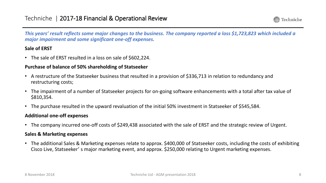

*This years' result reflects some major changes to the business. The company reported a loss \$1,723,823 which included a major impairment and some significant one-off expenses.*

#### **Sale of ERST**

• The sale of ERST resulted in a loss on sale of \$602,224.

#### **Purchase of balance of 50% shareholding of Statseeker**

- A restructure of the Statseeker business that resulted in a provision of \$336,713 in relation to redundancy and restructuring costs;
- The impairment of a number of Statseeker projects for on-going software enhancements with a total after tax value of \$810,354.
- The purchase resulted in the upward revaluation of the initial 50% investment in Statseeker of \$545,584.

#### **Additional one-off expenses**

• The company incurred one-off costs of \$249,438 associated with the sale of ERST and the strategic review of Urgent.

#### **Sales & Marketing expenses**

• The additional Sales & Marketing expenses relate to approx. \$400,000 of Statseeker costs, including the costs of exhibiting Cisco Live, Statseeker' s major marketing event, and approx. \$250,000 relating to Urgent marketing expenses.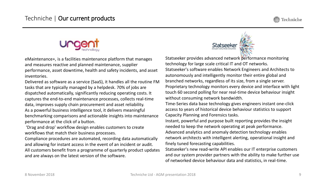



eMaintenance+, is a facilities maintenance platform that manages and measures reactive and planned maintenance, supplier performance, asset downtime, health and safety incidents, and asset inventories.

Delivered as software as a service (SaaS), it handles all the routine FM tasks that are typically managed by a helpdesk. 70% of jobs are dispatched automatically, significantly reducing operating costs. It captures the end-to-end maintenance processes, collects real-time data, improves supply chain procurement and asset reliability. As a powerful business intelligence tool, it delivers meaningful benchmarking comparisons and actionable insights into maintenance performance at the click of a button.

'Drag and drop' workflow design enables customers to create workflows that match their business processes.

Compliance procedures are automated, recording data automatically and allowing for instant access in the event of an incident or audit. All customers benefit from a programme of quarterly product updates and are always on the latest version of the software.



Statseeker provides advanced network performance monitoring technology for large scale critical IT and OT networks. Statseeker's software enables Network Engineers and Architects to autonomously and intelligently monitor their entire global and branched networks, regardless of its size, from a single server. Proprietary technology monitors every device and interface with light touch 60 second polling for near real-time device behaviour insight without consuming network bandwidth.

Time-Series data base technology gives engineers instant one-click access to years of historical device behaviour statistics to support Capacity Planning and Forensics tasks.

Instant, powerful and purpose built reporting provides the insight needed to keep the network operating at peak performance. Advanced analytics and anomaly detection technology enables network architects with intelligent alerting, operational insight and finely tuned forecasting capabilities.

Statseeker's new read-write API enables our IT enterprise customers and our system provider partners with the ability to make further use of networked device behaviour data and statistics, in real-time.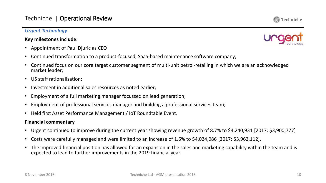#### *Urgent Technology*

#### **Key milestones include:**

- Appointment of Paul Djuric as CEO
- Continued transformation to a product-focused, SaaS-based maintenance software company;
- Continued focus on our core target customer segment of multi-unit petrol-retailing in which we are an acknowledged market leader;
- US staff rationalisation;
- Investment in additional sales resources as noted earlier;
- Employment of a full marketing manager focussed on lead generation;
- Employment of professional services manager and building a professional services team;
- Held first Asset Performance Management / IoT Roundtable Event.

#### **Financial commentary**

- Urgent continued to improve during the current year showing revenue growth of 8.7% to \$4,240,931 [2017: \$3,900,777]
- Costs were carefully managed and were limited to an increase of 1.6% to \$4,024,086 [2017: \$3,962,112].
- The improved financial position has allowed for an expansion in the sales and marketing capability within the team and is expected to lead to further improvements in the 2019 financial year.



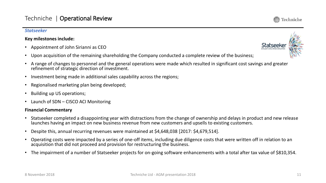#### *Statseeker*

#### **Key milestones include:**

- Appointment of John Sirianni as CEO
- Upon acquisition of the remaining shareholding the Company conducted a complete review of the business;
- A range of changes to personnel and the general operations were made which resulted in significant cost savings and greater refinement of strategic direction of investment.
- Investment being made in additional sales capability across the regions;
- Regionalised marketing plan being developed;
- Building up US operations;
- Launch of SDN CISCO ACI Monitoring

#### **Financial Commentary**

- Statseeker completed a disappointing year with distractions from the change of ownership and delays in product and new release launches having an impact on new business revenue from new customers and upsells to existing customers.
- Despite this, annual recurring revenues were maintained at \$4,648,038 [2017: \$4,679,514].
- Operating costs were impacted by a series of one-off items, including due diligence costs that were written off in relation to an acquisition that did not proceed and provision for restructuring the business.
- The impairment of a number of Statseeker projects for on-going software enhancements with a total after tax value of \$810,354.

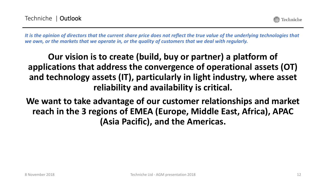Techniche

*It is the opinion of directors that the current share price does not reflect the true value of the underlying technologies that we own, or the markets that we operate in, or the quality of customers that we deal with regularly.*

### **Our vision is to create (build, buy or partner) a platform of applications that address the convergence of operational assets (OT) and technology assets (IT), particularly in light industry, where asset reliability and availability is critical.**

**We want to take advantage of our customer relationships and market reach in the 3 regions of EMEA (Europe, Middle East, Africa), APAC (Asia Pacific), and the Americas.**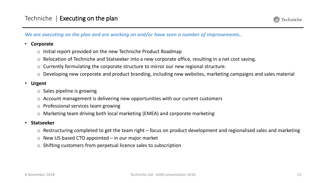

*We are executing on the plan and are working on and/or have seen a number of improvements..*

#### • **Corporate**

- o Initial report provided on the new Techniche Product Roadmap
- o Relocation of Techniche and Statseeker into a new corporate office, resulting in a net cost saving.
- o Currently formulating the corporate structure to mirror our new regional structure.
- o Developing new corporate and product branding, including new websites, marketing campaigns and sales material

#### • **Urgent**

- o Sales pipeline is growing
- o Account management is delivering new opportunities with our current customers
- o Professional services team growing
- o Marketing team driving both local marketing (EMEA) and corporate marketing

#### • **Statseeker**

- $\circ$  Restructuring completed to get the team right focus on product development and regionalised sales and marketing
- $\circ$  New US based CTO appointed in our major market
- o Shifting customers from perpetual licence sales to subscription